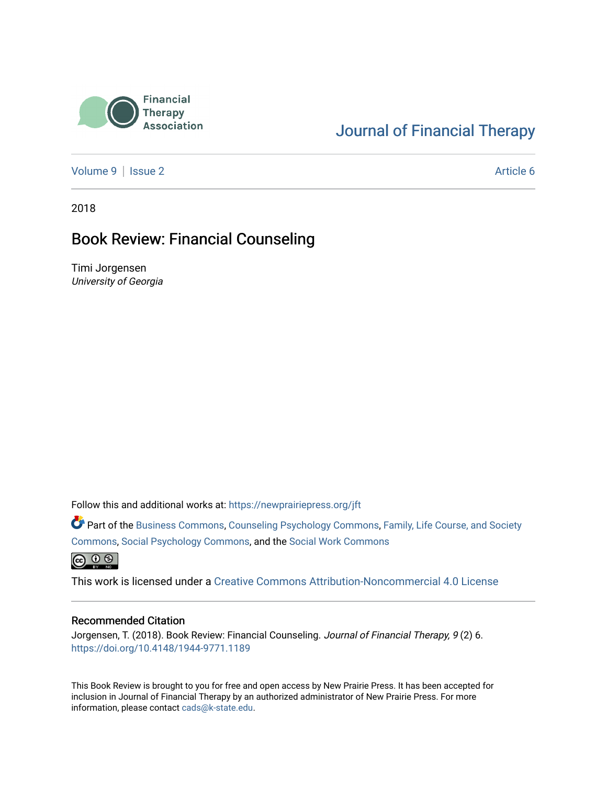

### [Journal of Financial Therapy](https://newprairiepress.org/jft)

[Volume 9](https://newprairiepress.org/jft/vol9) | [Issue 2](https://newprairiepress.org/jft/vol9/iss2) Article 6

2018

#### Book Review: Financial Counseling

Timi Jorgensen University of Georgia

Follow this and additional works at: [https://newprairiepress.org/jft](https://newprairiepress.org/jft?utm_source=newprairiepress.org%2Fjft%2Fvol9%2Fiss2%2F6&utm_medium=PDF&utm_campaign=PDFCoverPages)

Part of the [Business Commons](http://network.bepress.com/hgg/discipline/622?utm_source=newprairiepress.org%2Fjft%2Fvol9%2Fiss2%2F6&utm_medium=PDF&utm_campaign=PDFCoverPages), [Counseling Psychology Commons,](http://network.bepress.com/hgg/discipline/1044?utm_source=newprairiepress.org%2Fjft%2Fvol9%2Fiss2%2F6&utm_medium=PDF&utm_campaign=PDFCoverPages) [Family, Life Course, and Society](http://network.bepress.com/hgg/discipline/419?utm_source=newprairiepress.org%2Fjft%2Fvol9%2Fiss2%2F6&utm_medium=PDF&utm_campaign=PDFCoverPages)  [Commons](http://network.bepress.com/hgg/discipline/419?utm_source=newprairiepress.org%2Fjft%2Fvol9%2Fiss2%2F6&utm_medium=PDF&utm_campaign=PDFCoverPages), [Social Psychology Commons,](http://network.bepress.com/hgg/discipline/414?utm_source=newprairiepress.org%2Fjft%2Fvol9%2Fiss2%2F6&utm_medium=PDF&utm_campaign=PDFCoverPages) and the [Social Work Commons](http://network.bepress.com/hgg/discipline/713?utm_source=newprairiepress.org%2Fjft%2Fvol9%2Fiss2%2F6&utm_medium=PDF&utm_campaign=PDFCoverPages)   $\bigoplus$   $\bigoplus$   $\bigoplus$ 

This work is licensed under a [Creative Commons Attribution-Noncommercial 4.0 License](https://creativecommons.org/licenses/by-nc/4.0/)

#### Recommended Citation

Jorgensen, T. (2018). Book Review: Financial Counseling. Journal of Financial Therapy, 9 (2) 6. <https://doi.org/10.4148/1944-9771.1189>

This Book Review is brought to you for free and open access by New Prairie Press. It has been accepted for inclusion in Journal of Financial Therapy by an authorized administrator of New Prairie Press. For more information, please contact [cads@k-state.edu](mailto:cads@k-state.edu).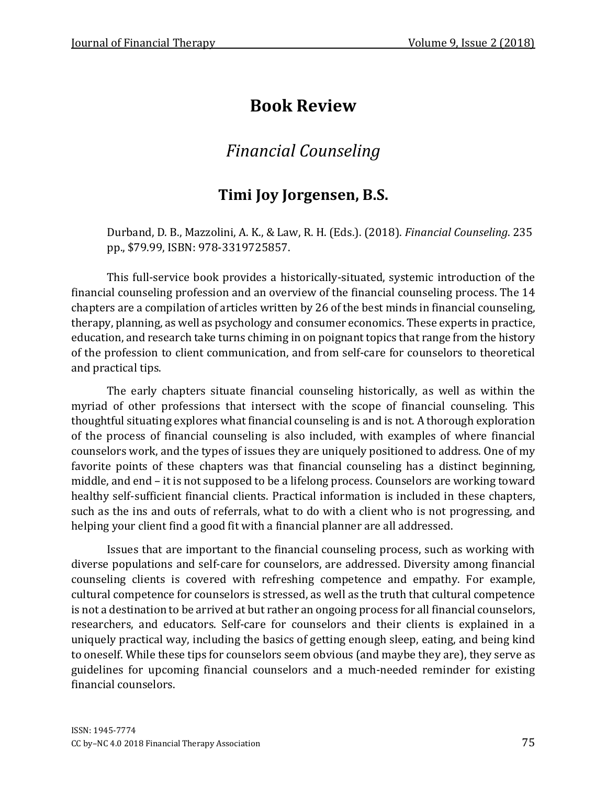# **Book Review**

## *Financial Counseling*

## **Timi Joy Jorgensen, B.S.**

Durband, D. B., Mazzolini, A. K., & Law, R. H. (Eds.). (2018). *Financial Counseling*. 235 pp., \$79.99, ISBN: 978-3319725857.

This full-service book provides a historically-situated, systemic introduction of the financial counseling profession and an overview of the financial counseling process. The 14 chapters are a compilation of articles written by 26 of the best minds in financial counseling, therapy, planning, as well as psychology and consumer economics. These experts in practice, education, and research take turns chiming in on poignant topics that range from the history of the profession to client communication, and from self-care for counselors to theoretical and practical tips.

The early chapters situate financial counseling historically, as well as within the myriad of other professions that intersect with the scope of financial counseling. This thoughtful situating explores what financial counseling is and is not. A thorough exploration of the process of financial counseling is also included, with examples of where financial counselors work, and the types of issues they are uniquely positioned to address. One of my favorite points of these chapters was that financial counseling has a distinct beginning, middle, and end – it is not supposed to be a lifelong process. Counselors are working toward healthy self-sufficient financial clients. Practical information is included in these chapters, such as the ins and outs of referrals, what to do with a client who is not progressing, and helping your client find a good fit with a financial planner are all addressed.

Issues that are important to the financial counseling process, such as working with diverse populations and self-care for counselors, are addressed. Diversity among financial counseling clients is covered with refreshing competence and empathy. For example, cultural competence for counselors is stressed, as well as the truth that cultural competence is not a destination to be arrived at but rather an ongoing process for all financial counselors, researchers, and educators. Self-care for counselors and their clients is explained in a uniquely practical way, including the basics of getting enough sleep, eating, and being kind to oneself. While these tips for counselors seem obvious (and maybe they are), they serve as guidelines for upcoming financial counselors and a much-needed reminder for existing financial counselors.